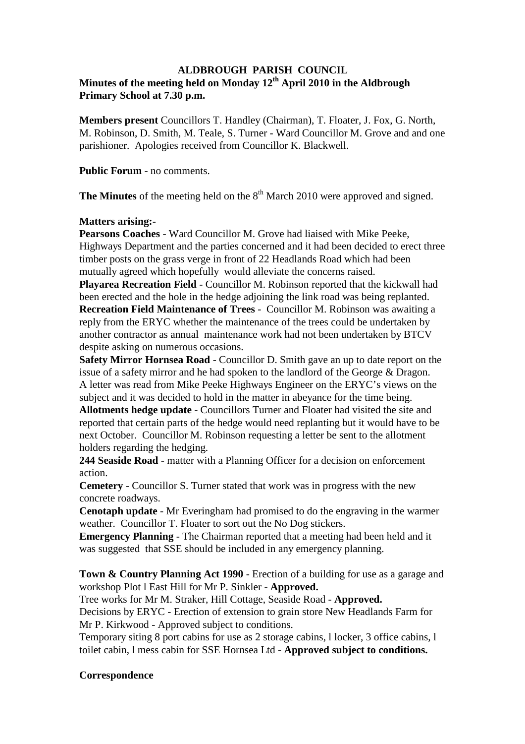#### **ALDBROUGH PARISH COUNCIL**

# **Minutes of the meeting held on Monday 12th April 2010 in the Aldbrough Primary School at 7.30 p.m.**

**Members present** Councillors T. Handley (Chairman), T. Floater, J. Fox, G. North, M. Robinson, D. Smith, M. Teale, S. Turner - Ward Councillor M. Grove and and one parishioner. Apologies received from Councillor K. Blackwell.

**Public Forum** - no comments.

**The Minutes** of the meeting held on the  $8<sup>th</sup>$  March 2010 were approved and signed.

# **Matters arising:-**

**Pearsons Coaches** - Ward Councillor M. Grove had liaised with Mike Peeke, Highways Department and the parties concerned and it had been decided to erect three timber posts on the grass verge in front of 22 Headlands Road which had been mutually agreed which hopefully would alleviate the concerns raised.

**Playarea Recreation Field** - Councillor M. Robinson reported that the kickwall had been erected and the hole in the hedge adjoining the link road was being replanted. **Recreation Field Maintenance of Trees** - Councillor M. Robinson was awaiting a reply from the ERYC whether the maintenance of the trees could be undertaken by another contractor as annual maintenance work had not been undertaken by BTCV despite asking on numerous occasions.

**Safety Mirror Hornsea Road** - Councillor D. Smith gave an up to date report on the issue of a safety mirror and he had spoken to the landlord of the George & Dragon. A letter was read from Mike Peeke Highways Engineer on the ERYC's views on the subject and it was decided to hold in the matter in abeyance for the time being.

**Allotments hedge update** - Councillors Turner and Floater had visited the site and reported that certain parts of the hedge would need replanting but it would have to be next October. Councillor M. Robinson requesting a letter be sent to the allotment holders regarding the hedging.

**244 Seaside Road** - matter with a Planning Officer for a decision on enforcement action.

**Cemetery** - Councillor S. Turner stated that work was in progress with the new concrete roadways.

**Cenotaph update** - Mr Everingham had promised to do the engraving in the warmer weather. Councillor T. Floater to sort out the No Dog stickers.

**Emergency Planning** - The Chairman reported that a meeting had been held and it was suggested that SSE should be included in any emergency planning.

**Town & Country Planning Act 1990** - Erection of a building for use as a garage and workshop Plot l East Hill for Mr P. Sinkler - **Approved.**

Tree works for Mr M. Straker, Hill Cottage, Seaside Road - **Approved.**

Decisions by ERYC - Erection of extension to grain store New Headlands Farm for Mr P. Kirkwood - Approved subject to conditions.

Temporary siting 8 port cabins for use as 2 storage cabins, l locker, 3 office cabins, l toilet cabin, l mess cabin for SSE Hornsea Ltd - **Approved subject to conditions.**

# **Correspondence**